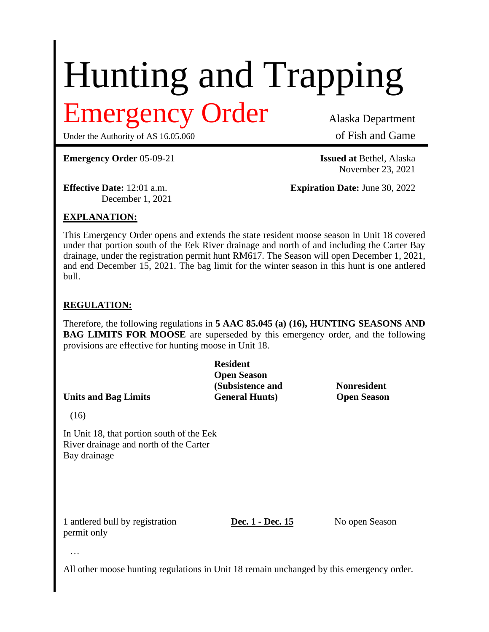# Hunting and Trapping

## mergency Order Alaska Department

Under the Authority of AS 16.05.060 of Fish and Game

**Emergency Order** 05-09-21 **Issued at** Bethel, Alaska

November 23, 2021

December 1, 2021

**Effective Date:** 12:01 a.m. **Expiration Date:** June 30, 2022

### **EXPLANATION:**

This Emergency Order opens and extends the state resident moose season in Unit 18 covered under that portion south of the Eek River drainage and north of and including the Carter Bay drainage, under the registration permit hunt RM617. The Season will open December 1, 2021, and end December 15, 2021. The bag limit for the winter season in this hunt is one antlered bull.

### **REGULATION:**

Therefore, the following regulations in **5 AAC 85.045 (a) (16), HUNTING SEASONS AND BAG LIMITS FOR MOOSE** are superseded by this emergency order, and the following provisions are effective for hunting moose in Unit 18.

**Resident Open Season (Subsistence and Nonresident Units and Bag Limits General Hunts) Open Season**

(16)

In Unit 18, that portion south of the Eek River drainage and north of the Carter Bay drainage

1 antlered bull by registration **Dec. 1 - Dec. 15** No open Season permit only

…

All other moose hunting regulations in Unit 18 remain unchanged by this emergency order.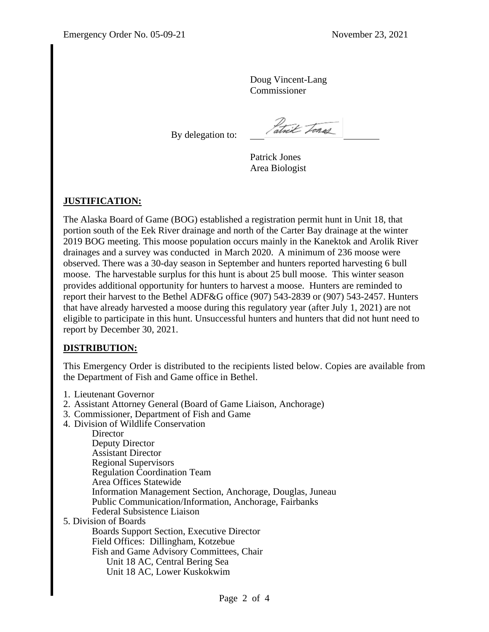Doug Vincent-Lang Commissioner

By delegation to:

atrix Tones

Patrick Jones Area Biologist

### **JUSTIFICATION:**

The Alaska Board of Game (BOG) established a registration permit hunt in Unit 18, that portion south of the Eek River drainage and north of the Carter Bay drainage at the winter 2019 BOG meeting. This moose population occurs mainly in the Kanektok and Arolik River drainages and a survey was conducted in March 2020. A minimum of 236 moose were observed. There was a 30-day season in September and hunters reported harvesting 6 bull moose. The harvestable surplus for this hunt is about 25 bull moose. This winter season provides additional opportunity for hunters to harvest a moose. Hunters are reminded to report their harvest to the Bethel ADF&G office (907) 543-2839 or (907) 543-2457. Hunters that have already harvested a moose during this regulatory year (after July 1, 2021) are not eligible to participate in this hunt. Unsuccessful hunters and hunters that did not hunt need to report by December 30, 2021.

#### **DISTRIBUTION:**

This Emergency Order is distributed to the recipients listed below. Copies are available from the Department of Fish and Game office in Bethel.

- 1. Lieutenant Governor
- 2. Assistant Attorney General (Board of Game Liaison, Anchorage)
- 3. Commissioner, Department of Fish and Game
- 4. Division of Wildlife Conservation

**Director** Deputy Director Assistant Director Regional Supervisors Regulation Coordination Team Area Offices Statewide Information Management Section, Anchorage, Douglas, Juneau Public Communication/Information, Anchorage, Fairbanks Federal Subsistence Liaison 5. Division of Boards Boards Support Section, Executive Director Field Offices: Dillingham, Kotzebue Fish and Game Advisory Committees, Chair Unit 18 AC, Central Bering Sea Unit 18 AC, Lower Kuskokwim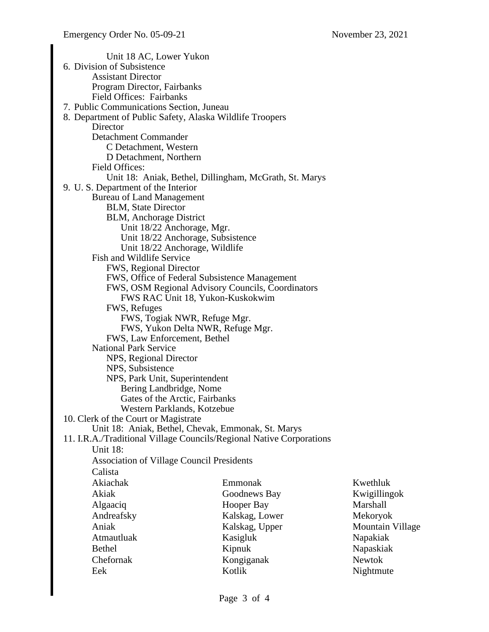Unit 18 AC, Lower Yukon 6. Division of Subsistence Assistant Director Program Director, Fairbanks Field Offices: Fairbanks 7. Public Communications Section, Juneau 8. Department of Public Safety, Alaska Wildlife Troopers **Director** Detachment Commander C Detachment, Western D Detachment, Northern Field Offices: Unit 18: Aniak, Bethel, Dillingham, McGrath, St. Marys 9. U. S. Department of the Interior Bureau of Land Management BLM, State Director BLM, Anchorage District Unit 18/22 Anchorage, Mgr. Unit 18/22 Anchorage, Subsistence Unit 18/22 Anchorage, Wildlife Fish and Wildlife Service FWS, Regional Director FWS, Office of Federal Subsistence Management FWS, OSM Regional Advisory Councils, Coordinators FWS RAC Unit 18, Yukon-Kuskokwim FWS, Refuges FWS, Togiak NWR, Refuge Mgr. FWS, Yukon Delta NWR, Refuge Mgr. FWS, Law Enforcement, Bethel National Park Service NPS, Regional Director NPS, Subsistence NPS, Park Unit, Superintendent Bering Landbridge, Nome Gates of the Arctic, Fairbanks Western Parklands, Kotzebue 10. Clerk of the Court or Magistrate Unit 18: Aniak, Bethel, Chevak, Emmonak, St. Marys 11. I.R.A./Traditional Village Councils/Regional Native Corporations Unit 18: Association of Village Council Presidents Calista Akiachak Akiak Algaaciq Andreafsky Aniak Atmautluak Bethel Chefornak Eek Emmonak Goodnews Bay Hooper Bay Kalskag, Lower Kalskag, Upper Kasigluk Kipnuk Kongiganak Kotlik Kwethluk Kwigillingok Marshall Mekoryok Mountain Village Napakiak Napaskiak Newtok Nightmute